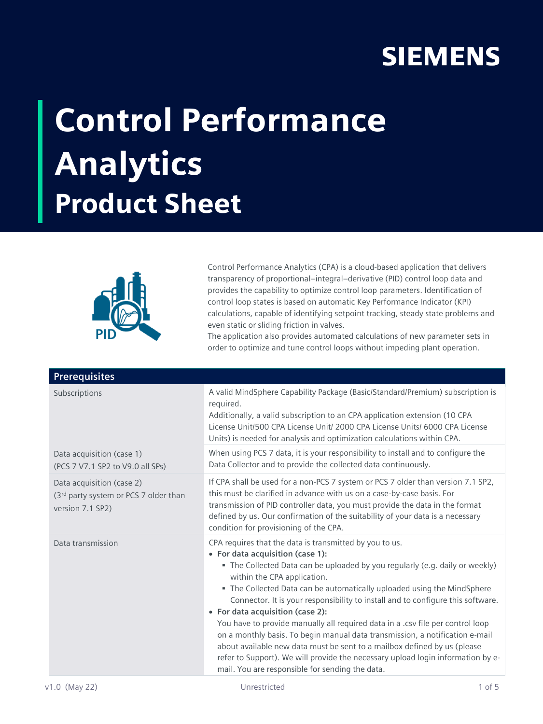## **SIEMENS**

## Control Performance Analytics Product Sheet



Control Performance Analytics (CPA) is a cloud-based application that delivers transparency of proportional–integral–derivative (PID) control loop data and provides the capability to optimize control loop parameters. Identification of control loop states is based on automatic Key Performance Indicator (KPI) calculations, capable of identifying setpoint tracking, steady state problems and even static or sliding friction in valves.

The application also provides automated calculations of new parameter sets in order to optimize and tune control loops without impeding plant operation.

| <b>Prerequisites</b>                                                                   |                                                                                                                                                                                                                                                                                                                                                                                                                                                                                                                                                                                                                                                                                                                                                                                                  |
|----------------------------------------------------------------------------------------|--------------------------------------------------------------------------------------------------------------------------------------------------------------------------------------------------------------------------------------------------------------------------------------------------------------------------------------------------------------------------------------------------------------------------------------------------------------------------------------------------------------------------------------------------------------------------------------------------------------------------------------------------------------------------------------------------------------------------------------------------------------------------------------------------|
| Subscriptions                                                                          | A valid MindSphere Capability Package (Basic/Standard/Premium) subscription is<br>required.<br>Additionally, a valid subscription to an CPA application extension (10 CPA<br>License Unit/500 CPA License Unit/ 2000 CPA License Units/ 6000 CPA License<br>Units) is needed for analysis and optimization calculations within CPA.                                                                                                                                                                                                                                                                                                                                                                                                                                                              |
| Data acquisition (case 1)<br>(PCS 7 V7.1 SP2 to V9.0 all SPs)                          | When using PCS 7 data, it is your responsibility to install and to configure the<br>Data Collector and to provide the collected data continuously.                                                                                                                                                                                                                                                                                                                                                                                                                                                                                                                                                                                                                                               |
| Data acquisition (case 2)<br>(3rd party system or PCS 7 older than<br>version 7.1 SP2) | If CPA shall be used for a non-PCS 7 system or PCS 7 older than version 7.1 SP2,<br>this must be clarified in advance with us on a case-by-case basis. For<br>transmission of PID controller data, you must provide the data in the format<br>defined by us. Our confirmation of the suitability of your data is a necessary<br>condition for provisioning of the CPA.                                                                                                                                                                                                                                                                                                                                                                                                                           |
| Data transmission                                                                      | CPA requires that the data is transmitted by you to us.<br>• For data acquisition (case 1):<br>• The Collected Data can be uploaded by you regularly (e.g. daily or weekly)<br>within the CPA application.<br>• The Collected Data can be automatically uploaded using the MindSphere<br>Connector. It is your responsibility to install and to configure this software.<br>• For data acquisition (case 2):<br>You have to provide manually all required data in a .csv file per control loop<br>on a monthly basis. To begin manual data transmission, a notification e-mail<br>about available new data must be sent to a mailbox defined by us (please<br>refer to Support). We will provide the necessary upload login information by e-<br>mail. You are responsible for sending the data. |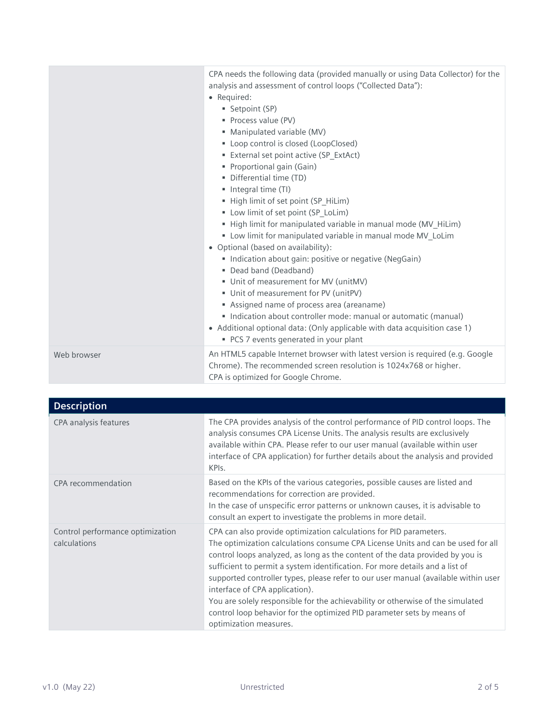|             | CPA needs the following data (provided manually or using Data Collector) for the<br>analysis and assessment of control loops ("Collected Data"):<br>• Required:<br>Setpoint (SP)<br>Process value (PV)<br>· Manipulated variable (MV)<br>• Loop control is closed (LoopClosed)<br>External set point active (SP_ExtAct)<br>Proportional gain (Gain)<br>· Differential time (TD)<br>• Integral time (TI)<br>High limit of set point (SP_HiLim)<br>• Low limit of set point (SP_LoLim)<br>" High limit for manipulated variable in manual mode (MV_HiLim)<br>" Low limit for manipulated variable in manual mode MV_LoLim<br>• Optional (based on availability):<br>Indication about gain: positive or negative (NegGain)<br>Dead band (Deadband)<br>Unit of measurement for MV (unitMV)<br>Unit of measurement for PV (unitPV)<br>Assigned name of process area (areaname)<br>Indication about controller mode: manual or automatic (manual)<br>• Additional optional data: (Only applicable with data acquisition case 1)<br>• PCS 7 events generated in your plant |
|-------------|---------------------------------------------------------------------------------------------------------------------------------------------------------------------------------------------------------------------------------------------------------------------------------------------------------------------------------------------------------------------------------------------------------------------------------------------------------------------------------------------------------------------------------------------------------------------------------------------------------------------------------------------------------------------------------------------------------------------------------------------------------------------------------------------------------------------------------------------------------------------------------------------------------------------------------------------------------------------------------------------------------------------------------------------------------------------|
| Web browser | An HTML5 capable Internet browser with latest version is required (e.g. Google<br>Chrome). The recommended screen resolution is 1024x768 or higher.<br>CPA is optimized for Google Chrome.                                                                                                                                                                                                                                                                                                                                                                                                                                                                                                                                                                                                                                                                                                                                                                                                                                                                          |

| <b>Description</b>                               |                                                                                                                                                                                                                                                                                                                                                                                                                                                                                                                                                                                                                                      |
|--------------------------------------------------|--------------------------------------------------------------------------------------------------------------------------------------------------------------------------------------------------------------------------------------------------------------------------------------------------------------------------------------------------------------------------------------------------------------------------------------------------------------------------------------------------------------------------------------------------------------------------------------------------------------------------------------|
| CPA analysis features                            | The CPA provides analysis of the control performance of PID control loops. The<br>analysis consumes CPA License Units. The analysis results are exclusively<br>available within CPA. Please refer to our user manual (available within user<br>interface of CPA application) for further details about the analysis and provided<br>KPIs.                                                                                                                                                                                                                                                                                            |
| CPA recommendation                               | Based on the KPIs of the various categories, possible causes are listed and<br>recommendations for correction are provided.<br>In the case of unspecific error patterns or unknown causes, it is advisable to<br>consult an expert to investigate the problems in more detail.                                                                                                                                                                                                                                                                                                                                                       |
| Control performance optimization<br>calculations | CPA can also provide optimization calculations for PID parameters.<br>The optimization calculations consume CPA License Units and can be used for all<br>control loops analyzed, as long as the content of the data provided by you is<br>sufficient to permit a system identification. For more details and a list of<br>supported controller types, please refer to our user manual (available within user<br>interface of CPA application).<br>You are solely responsible for the achievability or otherwise of the simulated<br>control loop behavior for the optimized PID parameter sets by means of<br>optimization measures. |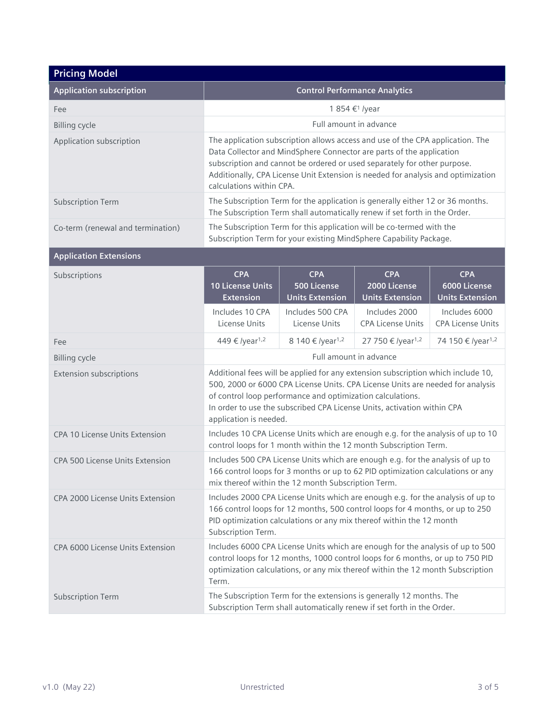| <b>Pricing Model</b>              |                                                                                                                                                                                                                                                                                                                                                    |                                                            |                                                      |                                                      |
|-----------------------------------|----------------------------------------------------------------------------------------------------------------------------------------------------------------------------------------------------------------------------------------------------------------------------------------------------------------------------------------------------|------------------------------------------------------------|------------------------------------------------------|------------------------------------------------------|
| <b>Application subscription</b>   |                                                                                                                                                                                                                                                                                                                                                    |                                                            | <b>Control Performance Analytics</b>                 |                                                      |
| Fee                               | 1 854 € <sup>1</sup> /year                                                                                                                                                                                                                                                                                                                         |                                                            |                                                      |                                                      |
| <b>Billing cycle</b>              |                                                                                                                                                                                                                                                                                                                                                    |                                                            | Full amount in advance                               |                                                      |
| Application subscription          | The application subscription allows access and use of the CPA application. The<br>Data Collector and MindSphere Connector are parts of the application<br>subscription and cannot be ordered or used separately for other purpose.<br>Additionally, CPA License Unit Extension is needed for analysis and optimization<br>calculations within CPA. |                                                            |                                                      |                                                      |
| <b>Subscription Term</b>          | The Subscription Term for the application is generally either 12 or 36 months.<br>The Subscription Term shall automatically renew if set forth in the Order.                                                                                                                                                                                       |                                                            |                                                      |                                                      |
| Co-term (renewal and termination) | The Subscription Term for this application will be co-termed with the<br>Subscription Term for your existing MindSphere Capability Package.                                                                                                                                                                                                        |                                                            |                                                      |                                                      |
| <b>Application Extensions</b>     |                                                                                                                                                                                                                                                                                                                                                    |                                                            |                                                      |                                                      |
| Subscriptions                     | <b>CPA</b><br><b>10 License Units</b><br><b>Extension</b>                                                                                                                                                                                                                                                                                          | <b>CPA</b><br><b>500 License</b><br><b>Units Extension</b> | <b>CPA</b><br>2000 License<br><b>Units Extension</b> | <b>CPA</b><br>6000 License<br><b>Units Extension</b> |
|                                   | Includes 10 CPA<br>License Units                                                                                                                                                                                                                                                                                                                   | Includes 500 CPA<br>License Units                          | Includes 2000<br><b>CPA License Units</b>            | Includes 6000<br><b>CPA License Units</b>            |
| Fee                               | 449 € /year <sup>1,2</sup>                                                                                                                                                                                                                                                                                                                         | 8 140 € /year <sup>1,2</sup>                               | 27 750 € /year <sup>1,2</sup>                        | 74 150 € /year <sup>1,2</sup>                        |
| <b>Billing cycle</b>              | Full amount in advance                                                                                                                                                                                                                                                                                                                             |                                                            |                                                      |                                                      |
| <b>Extension subscriptions</b>    | Additional fees will be applied for any extension subscription which include 10,<br>500, 2000 or 6000 CPA License Units. CPA License Units are needed for analysis<br>of control loop performance and optimization calculations.<br>In order to use the subscribed CPA License Units, activation within CPA<br>application is needed.              |                                                            |                                                      |                                                      |
| CPA 10 License Units Extension    | Includes 10 CPA License Units which are enough e.g. for the analysis of up to 10<br>control loops for 1 month within the 12 month Subscription Term.                                                                                                                                                                                               |                                                            |                                                      |                                                      |
| CPA 500 License Units Extension   | Includes 500 CPA License Units which are enough e.g. for the analysis of up to<br>166 control loops for 3 months or up to 62 PID optimization calculations or any<br>mix thereof within the 12 month Subscription Term.                                                                                                                            |                                                            |                                                      |                                                      |
| CPA 2000 License Units Extension  | Includes 2000 CPA License Units which are enough e.g. for the analysis of up to<br>166 control loops for 12 months, 500 control loops for 4 months, or up to 250<br>PID optimization calculations or any mix thereof within the 12 month<br>Subscription Term.                                                                                     |                                                            |                                                      |                                                      |
| CPA 6000 License Units Extension  | Includes 6000 CPA License Units which are enough for the analysis of up to 500<br>control loops for 12 months, 1000 control loops for 6 months, or up to 750 PID<br>optimization calculations, or any mix thereof within the 12 month Subscription<br>Term.                                                                                        |                                                            |                                                      |                                                      |
| <b>Subscription Term</b>          | The Subscription Term for the extensions is generally 12 months. The<br>Subscription Term shall automatically renew if set forth in the Order.                                                                                                                                                                                                     |                                                            |                                                      |                                                      |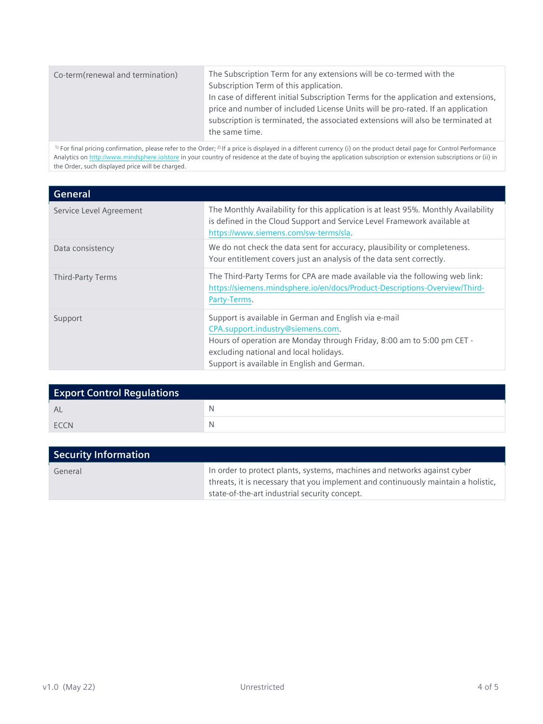| Co-term(renewal and termination) | The Subscription Term for any extensions will be co-termed with the<br>Subscription Term of this application.<br>In case of different initial Subscription Terms for the application and extensions,<br>price and number of included License Units will be pro-rated. If an application<br>subscription is terminated, the associated extensions will also be terminated at<br>the same time. |
|----------------------------------|-----------------------------------------------------------------------------------------------------------------------------------------------------------------------------------------------------------------------------------------------------------------------------------------------------------------------------------------------------------------------------------------------|
|                                  |                                                                                                                                                                                                                                                                                                                                                                                               |

<sup>1)</sup> For final pricing confirmation, please refer to the Order; <sup>2)</sup> If a price is displayed in a different currency (i) on the product detail page for Control Performance Analytics on <http://www.mindsphere.io/store> in your country of residence at the date of buying the application subscription or extension subscriptions or (ii) in the Order, such displayed price will be charged.

| General                 |                                                                                                                                                                                                                                                               |
|-------------------------|---------------------------------------------------------------------------------------------------------------------------------------------------------------------------------------------------------------------------------------------------------------|
| Service Level Agreement | The Monthly Availability for this application is at least 95%. Monthly Availability<br>is defined in the Cloud Support and Service Level Framework available at<br>https://www.siemens.com/sw-terms/sla.                                                      |
| Data consistency        | We do not check the data sent for accuracy, plausibility or completeness.<br>Your entitlement covers just an analysis of the data sent correctly.                                                                                                             |
| Third-Party Terms       | The Third-Party Terms for CPA are made available via the following web link:<br>https://siemens.mindsphere.io/en/docs/Product-Descriptions-Overview/Third-<br>Party-Terms.                                                                                    |
| Support                 | Support is available in German and English via e-mail<br>CPA.support.industry@siemens.com.<br>Hours of operation are Monday through Friday, 8:00 am to 5:00 pm CET -<br>excluding national and local holidays.<br>Support is available in English and German. |

| <b>Export Control Regulations</b> |   |
|-----------------------------------|---|
| AL                                | N |
| ECCN                              | N |

| <b>Security Information</b> |                                                                                                                                                                                                                |
|-----------------------------|----------------------------------------------------------------------------------------------------------------------------------------------------------------------------------------------------------------|
| General                     | In order to protect plants, systems, machines and networks against cyber<br>threats, it is necessary that you implement and continuously maintain a holistic,<br>state-of-the-art industrial security concept. |